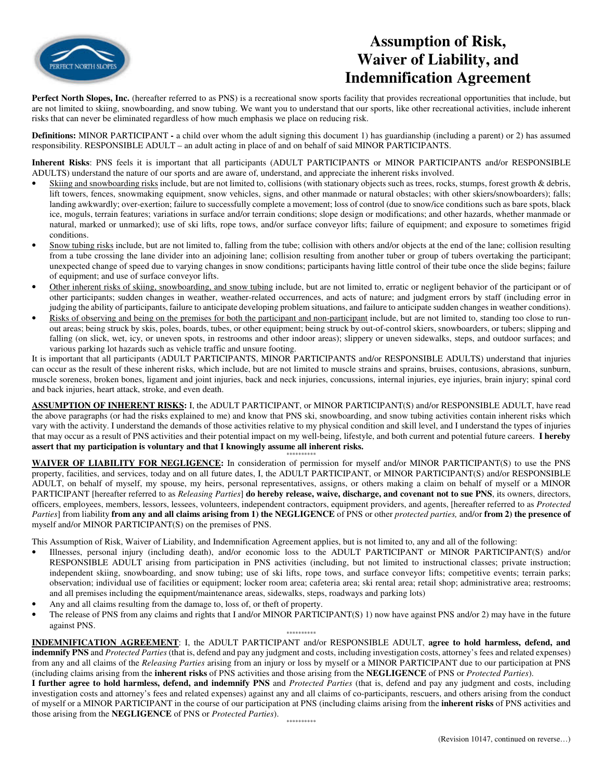

## **Assumption of Risk, Waiver of Liability, and Indemnification Agreement**

Perfect North Slopes, Inc. (hereafter referred to as PNS) is a recreational snow sports facility that provides recreational opportunities that include, but are not limited to skiing, snowboarding, and snow tubing. We want you to understand that our sports, like other recreational activities, include inherent risks that can never be eliminated regardless of how much emphasis we place on reducing risk.

**Definitions:** MINOR PARTICIPANT **-** a child over whom the adult signing this document 1) has guardianship (including a parent) or 2) has assumed responsibility. RESPONSIBLE ADULT – an adult acting in place of and on behalf of said MINOR PARTICIPANTS.

**Inherent Risks**: PNS feels it is important that all participants (ADULT PARTICIPANTS or MINOR PARTICIPANTS and/or RESPONSIBLE ADULTS) understand the nature of our sports and are aware of, understand, and appreciate the inherent risks involved.

- Skiing and snowboarding risks include, but are not limited to, collisions (with stationary objects such as trees, rocks, stumps, forest growth & debris, lift towers, fences, snowmaking equipment, snow vehicles, signs, and other manmade or natural obstacles; with other skiers/snowboarders); falls; landing awkwardly; over-exertion; failure to successfully complete a movement; loss of control (due to snow/ice conditions such as bare spots, black ice, moguls, terrain features; variations in surface and/or terrain conditions; slope design or modifications; and other hazards, whether manmade or natural, marked or unmarked); use of ski lifts, rope tows, and/or surface conveyor lifts; failure of equipment; and exposure to sometimes frigid conditions.
- Snow tubing risks include, but are not limited to, falling from the tube; collision with others and/or objects at the end of the lane; collision resulting from a tube crossing the lane divider into an adjoining lane; collision resulting from another tuber or group of tubers overtaking the participant; unexpected change of speed due to varying changes in snow conditions; participants having little control of their tube once the slide begins; failure of equipment; and use of surface conveyor lifts.
- Other inherent risks of skiing, snowboarding, and snow tubing include, but are not limited to, erratic or negligent behavior of the participant or of other participants; sudden changes in weather, weather-related occurrences, and acts of nature; and judgment errors by staff (including error in judging the ability of participants, failure to anticipate developing problem situations, and failure to anticipate sudden changes in weather conditions).
- Risks of observing and being on the premises for both the participant and non-participant include, but are not limited to, standing too close to runout areas; being struck by skis, poles, boards, tubes, or other equipment; being struck by out-of-control skiers, snowboarders, or tubers; slipping and falling (on slick, wet, icy, or uneven spots, in restrooms and other indoor areas); slippery or uneven sidewalks, steps, and outdoor surfaces; and various parking lot hazards such as vehicle traffic and unsure footing.

It is important that all participants (ADULT PARTICIPANTS, MINOR PARTICIPANTS and/or RESPONSIBLE ADULTS) understand that injuries can occur as the result of these inherent risks, which include, but are not limited to muscle strains and sprains, bruises, contusions, abrasions, sunburn, muscle soreness, broken bones, ligament and joint injuries, back and neck injuries, concussions, internal injuries, eye injuries, brain injury; spinal cord and back injuries, heart attack, stroke, and even death.

**ASSUMPTION OF INHERENT RISKS:** I, the ADULT PARTICIPANT, or MINOR PARTICIPANT(S) and/or RESPONSIBLE ADULT, have read the above paragraphs (or had the risks explained to me) and know that PNS ski, snowboarding, and snow tubing activities contain inherent risks which vary with the activity. I understand the demands of those activities relative to my physical condition and skill level, and I understand the types of injuries that may occur as a result of PNS activities and their potential impact on my well-being, lifestyle, and both current and potential future careers. **I hereby assert that my participation is voluntary and that I knowingly assume all inherent risks.** 

\*\*\*\*\*\*\*\*\*\* **WAIVER OF LIABILITY FOR NEGLIGENCE:** In consideration of permission for myself and/or MINOR PARTICIPANT(S) to use the PNS property, facilities, and services, today and on all future dates, I, the ADULT PARTICIPANT, or MINOR PARTICIPANT(S) and/or RESPONSIBLE ADULT, on behalf of myself, my spouse, my heirs, personal representatives, assigns, or others making a claim on behalf of myself or a MINOR PARTICIPANT [hereafter referred to as *Releasing Parties*] **do hereby release, waive, discharge, and covenant not to sue PNS**, its owners, directors, officers, employees, members, lessors, lessees, volunteers, independent contractors, equipment providers, and agents, [hereafter referred to as *Protected Parties*] from liability **from any and all claims arising from 1) the NEGLIGENCE** of PNS or other *protected parties,* and/or **from 2) the presence of**  myself and/or MINOR PARTICIPANT(S) on the premises of PNS.

This Assumption of Risk, Waiver of Liability, and Indemnification Agreement applies, but is not limited to, any and all of the following:

- Illnesses, personal injury (including death), and/or economic loss to the ADULT PARTICIPANT or MINOR PARTICIPANT(S) and/or RESPONSIBLE ADULT arising from participation in PNS activities (including, but not limited to instructional classes; private instruction; independent skiing, snowboarding, and snow tubing; use of ski lifts, rope tows, and surface conveyor lifts; competitive events; terrain parks; observation; individual use of facilities or equipment; locker room area; cafeteria area; ski rental area; retail shop; administrative area; restrooms; and all premises including the equipment/maintenance areas, sidewalks, steps, roadways and parking lots)
- Any and all claims resulting from the damage to, loss of, or theft of property.
- The release of PNS from any claims and rights that I and/or MINOR PARTICIPANT(S) 1) now have against PNS and/or 2) may have in the future against PNS.

\*\*\*\*\*\*\*\*\*\*\*\*\*\*\*\*

**INDEMNIFICATION AGREEMENT**: I, the ADULT PARTICIPANT and/or RESPONSIBLE ADULT, **agree to hold harmless, defend, and indemnify PNS** and *Protected Parties* (that is, defend and pay any judgment and costs, including investigation costs, attorney's fees and related expenses) from any and all claims of the *Releasing Parties* arising from an injury or loss by myself or a MINOR PARTICIPANT due to our participation at PNS (including claims arising from the **inherent risks** of PNS activities and those arising from the **NEGLIGENCE** of PNS or *Protected Parties*).

**I further agree to hold harmless, defend, and indemnify PNS** and *Protected Parties* (that is, defend and pay any judgment and costs, including investigation costs and attorney's fees and related expenses) against any and all claims of co-participants, rescuers, and others arising from the conduct of myself or a MINOR PARTICIPANT in the course of our participation at PNS (including claims arising from the **inherent risks** of PNS activities and those arising from the **NEGLIGENCE** of PNS or *Protected Parties*).